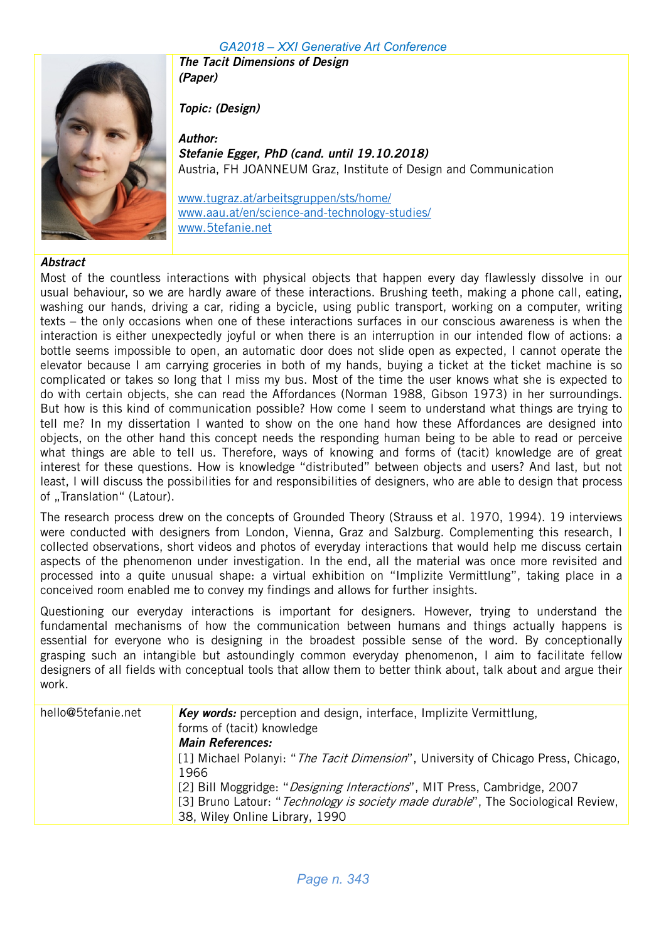

The Tacit Dimensions of Design (Paper)

Topic: (Design)

Author: Stefanie Egger, PhD (cand. until 19.10.2018) Austria, FH JOANNEUM Graz, Institute of Design and Communication

www.tugraz.at/arbeitsgruppen/sts/home/ www.aau.at/en/science-and-technology-studies/ www.5tefanie.net

#### **Abstract**

Most of the countless interactions with physical objects that happen every day flawlessly dissolve in our usual behaviour, so we are hardly aware of these interactions. Brushing teeth, making a phone call, eating, washing our hands, driving a car, riding a bycicle, using public transport, working on a computer, writing texts – the only occasions when one of these interactions surfaces in our conscious awareness is when the interaction is either unexpectedly joyful or when there is an interruption in our intended flow of actions: a bottle seems impossible to open, an automatic door does not slide open as expected, I cannot operate the elevator because I am carrying groceries in both of my hands, buying a ticket at the ticket machine is so complicated or takes so long that I miss my bus. Most of the time the user knows what she is expected to do with certain objects, she can read the Affordances (Norman 1988, Gibson 1973) in her surroundings. But how is this kind of communication possible? How come I seem to understand what things are trying to tell me? In my dissertation I wanted to show on the one hand how these Affordances are designed into objects, on the other hand this concept needs the responding human being to be able to read or perceive what things are able to tell us. Therefore, ways of knowing and forms of (tacit) knowledge are of great interest for these questions. How is knowledge "distributed" between objects and users? And last, but not least, I will discuss the possibilities for and responsibilities of designers, who are able to design that process of ..Translation" (Latour).

The research process drew on the concepts of Grounded Theory (Strauss et al. 1970, 1994). 19 interviews were conducted with designers from London, Vienna, Graz and Salzburg. Complementing this research, I collected observations, short videos and photos of everyday interactions that would help me discuss certain aspects of the phenomenon under investigation. In the end, all the material was once more revisited and processed into a quite unusual shape: a virtual exhibition on "Implizite Vermittlung", taking place in a conceived room enabled me to convey my findings and allows for further insights.

Questioning our everyday interactions is important for designers. However, trying to understand the fundamental mechanisms of how the communication between humans and things actually happens is essential for everyone who is designing in the broadest possible sense of the word. By conceptionally grasping such an intangible but astoundingly common everyday phenomenon, I aim to facilitate fellow designers of all fields with conceptual tools that allow them to better think about, talk about and argue their work.

| hello@5tefanie.net | Key words: perception and design, interface, Implizite Vermittlung,                        |
|--------------------|--------------------------------------------------------------------------------------------|
|                    | forms of (tacit) knowledge                                                                 |
|                    | <b>Main References:</b>                                                                    |
|                    | [1] Michael Polanyi: " <i>The Tacit Dimension</i> ", University of Chicago Press, Chicago, |
|                    | 1966                                                                                       |
|                    | [2] Bill Moggridge: "Designing Interactions", MIT Press, Cambridge, 2007                   |
|                    | [3] Bruno Latour: "Technology is society made durable", The Sociological Review,           |
|                    | 38, Wiley Online Library, 1990                                                             |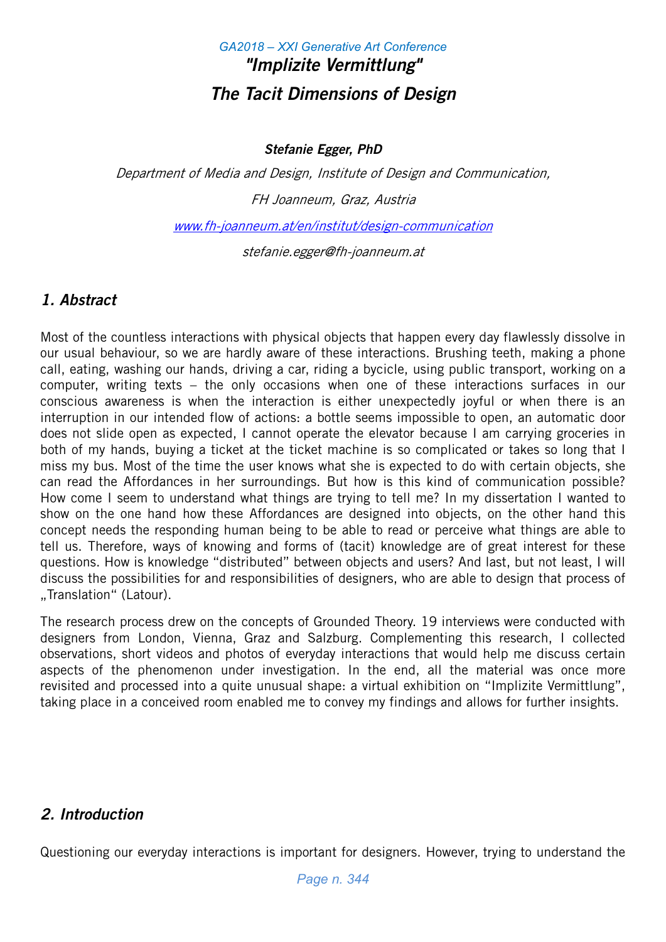# *GA2018 – XXI Generative Art Conference* "Implizite Vermittlung" The Tacit Dimensions of Design

Stefanie Egger, PhD

Department of Media and Design, Institute of Design and Communication, FH Joanneum, Graz, Austria

www.fh-joanneum.at/en/institut/design-communication

stefanie.egger@fh-joanneum.at

# 1. Abstract

Most of the countless interactions with physical objects that happen every day flawlessly dissolve in our usual behaviour, so we are hardly aware of these interactions. Brushing teeth, making a phone call, eating, washing our hands, driving a car, riding a bycicle, using public transport, working on a computer, writing texts – the only occasions when one of these interactions surfaces in our conscious awareness is when the interaction is either unexpectedly joyful or when there is an interruption in our intended flow of actions: a bottle seems impossible to open, an automatic door does not slide open as expected, I cannot operate the elevator because I am carrying groceries in both of my hands, buying a ticket at the ticket machine is so complicated or takes so long that I miss my bus. Most of the time the user knows what she is expected to do with certain objects, she can read the Affordances in her surroundings. But how is this kind of communication possible? How come I seem to understand what things are trying to tell me? In my dissertation I wanted to show on the one hand how these Affordances are designed into objects, on the other hand this concept needs the responding human being to be able to read or perceive what things are able to tell us. Therefore, ways of knowing and forms of (tacit) knowledge are of great interest for these questions. How is knowledge "distributed" between objects and users? And last, but not least, I will discuss the possibilities for and responsibilities of designers, who are able to design that process of ..Translation" (Latour).

The research process drew on the concepts of Grounded Theory. 19 interviews were conducted with designers from London, Vienna, Graz and Salzburg. Complementing this research, I collected observations, short videos and photos of everyday interactions that would help me discuss certain aspects of the phenomenon under investigation. In the end, all the material was once more revisited and processed into a quite unusual shape: a virtual exhibition on "Implizite Vermittlung", taking place in a conceived room enabled me to convey my findings and allows for further insights.

# 2. Introduction

Questioning our everyday interactions is important for designers. However, trying to understand the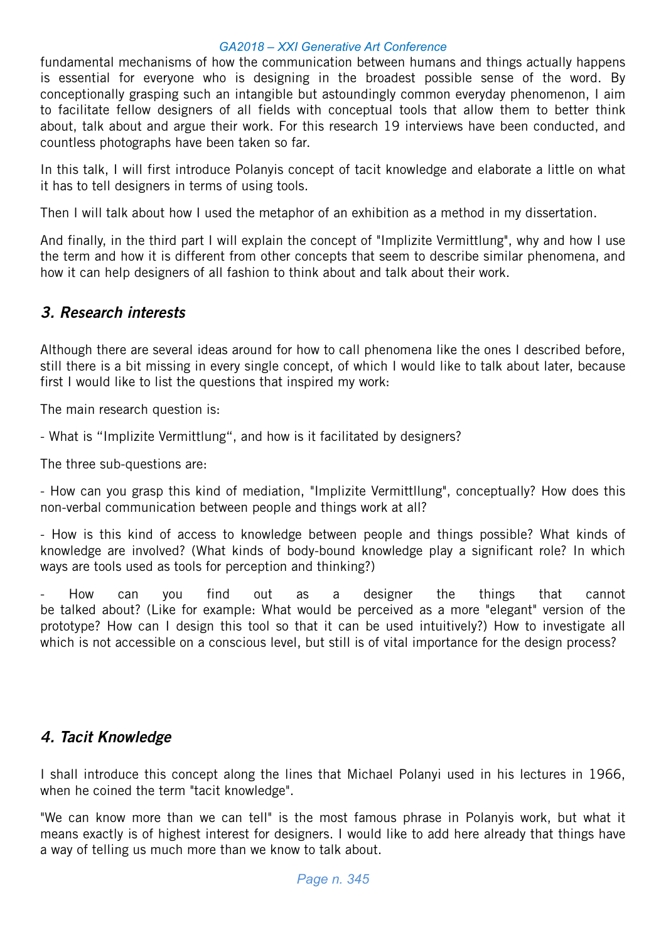fundamental mechanisms of how the communication between humans and things actually happens is essential for everyone who is designing in the broadest possible sense of the word. By conceptionally grasping such an intangible but astoundingly common everyday phenomenon, I aim to facilitate fellow designers of all fields with conceptual tools that allow them to better think about, talk about and argue their work. For this research 19 interviews have been conducted, and countless photographs have been taken so far.

In this talk, I will first introduce Polanyis concept of tacit knowledge and elaborate a little on what it has to tell designers in terms of using tools.

Then I will talk about how I used the metaphor of an exhibition as a method in my dissertation.

And finally, in the third part I will explain the concept of "Implizite Vermittlung", why and how I use the term and how it is different from other concepts that seem to describe similar phenomena, and how it can help designers of all fashion to think about and talk about their work.

# 3. Research interests

Although there are several ideas around for how to call phenomena like the ones I described before, still there is a bit missing in every single concept, of which I would like to talk about later, because first I would like to list the questions that inspired my work:

The main research question is:

- What is "Implizite Vermittlung", and how is it facilitated by designers?

The three sub-questions are:

- How can you grasp this kind of mediation, "Implizite Vermittllung", conceptually? How does this non-verbal communication between people and things work at all?

- How is this kind of access to knowledge between people and things possible? What kinds of knowledge are involved? (What kinds of body-bound knowledge play a significant role? In which ways are tools used as tools for perception and thinking?)

- How can you find out as a designer the things that cannot be talked about? (Like for example: What would be perceived as a more "elegant" version of the prototype? How can I design this tool so that it can be used intuitively?) How to investigate all which is not accessible on a conscious level, but still is of vital importance for the design process?

# 4. Tacit Knowledge

I shall introduce this concept along the lines that Michael Polanyi used in his lectures in 1966, when he coined the term "tacit knowledge".

"We can know more than we can tell" is the most famous phrase in Polanyis work, but what it means exactly is of highest interest for designers. I would like to add here already that things have a way of telling us much more than we know to talk about.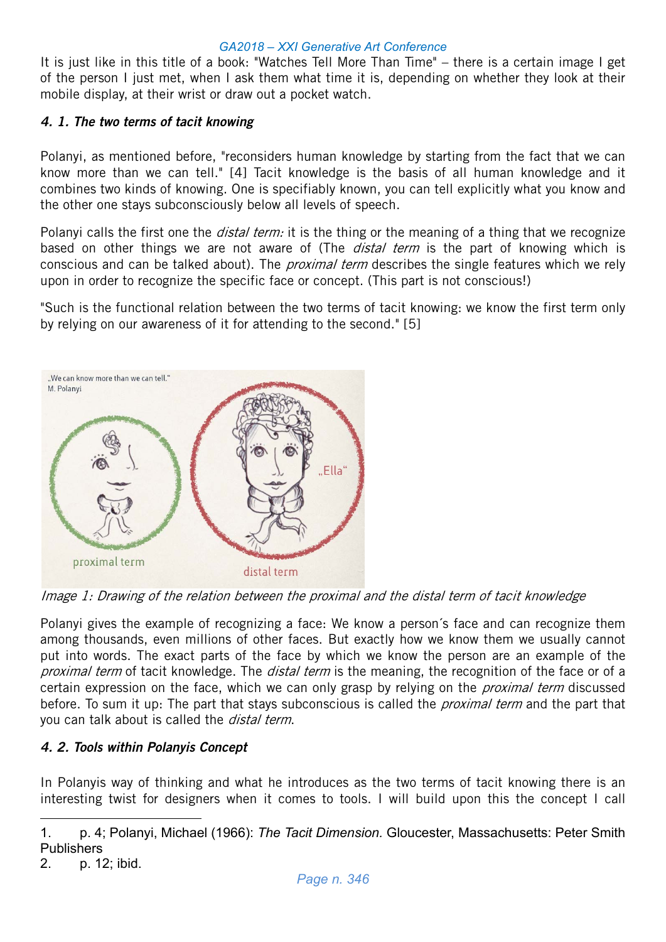It is just like in this title of a book: "Watches Tell More Than Time" – there is a certain image I get of the person I just met, when I ask them what time it is, depending on whether they look at their mobile display, at their wrist or draw out a pocket watch.

### 4. 1. The two terms of tacit knowing

Polanyi, as mentioned before, "reconsiders human knowledge by starting from the fact that we can know more than we can tell." [4] Tacit knowledge is the basis of all human knowledge and it combines two kinds of knowing. One is specifiably known, you can tell explicitly what you know and the other one stays subconsciously below all levels of speech.

Polanyi calls the first one the *distal term:* it is the thing or the meaning of a thing that we recognize based on other things we are not aware of (The *distal term* is the part of knowing which is conscious and can be talked about). The *proximal term* describes the single features which we rely upon in order to recognize the specific face or concept. (This part is not conscious!)

"Such is the functional relation between the two terms of tacit knowing: we know the first term only by relying on our awareness of it for attending to the second." [5]



Image 1: Drawing of the relation between the proximal and the distal term of tacit knowledge

Polanyi gives the example of recognizing a face: We know a person´s face and can recognize them among thousands, even millions of other faces. But exactly how we know them we usually cannot put into words. The exact parts of the face by which we know the person are an example of the proximal term of tacit knowledge. The *distal term* is the meaning, the recognition of the face or of a certain expression on the face, which we can only grasp by relying on the *proximal term* discussed before. To sum it up: The part that stays subconscious is called the *proximal term* and the part that you can talk about is called the *distal term*.

# 4. 2. Tools within Polanyis Concept

In Polanyis way of thinking and what he introduces as the two terms of tacit knowing there is an interesting twist for designers when it comes to tools. I will build upon this the concept I call

<u>.</u>

<sup>1.</sup> p. 4; Polanyi, Michael (1966): *The Tacit Dimension.* Gloucester, Massachusetts: Peter Smith **Publishers** 

<sup>2.</sup> p. 12; ibid.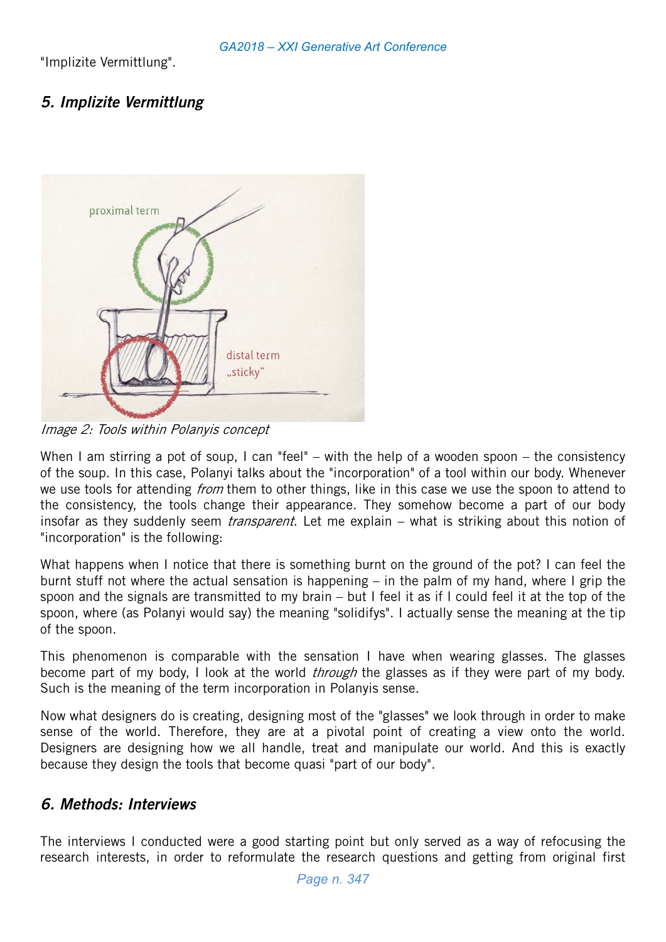"Implizite Vermittlung".

# 5. Implizite Vermittlung



Image 2: Tools within Polanyis concept

When I am stirring a pot of soup, I can "feel" – with the help of a wooden spoon – the consistency of the soup. In this case, Polanyi talks about the "incorporation" of a tool within our body. Whenever we use tools for attending *from* them to other things, like in this case we use the spoon to attend to the consistency, the tools change their appearance. They somehow become a part of our body insofar as they suddenly seem *transparent*. Let me explain – what is striking about this notion of "incorporation" is the following:

What happens when I notice that there is something burnt on the ground of the pot? I can feel the burnt stuff not where the actual sensation is happening – in the palm of my hand, where I grip the spoon and the signals are transmitted to my brain – but I feel it as if I could feel it at the top of the spoon, where (as Polanyi would say) the meaning "solidifys". I actually sense the meaning at the tip of the spoon.

This phenomenon is comparable with the sensation I have when wearing glasses. The glasses become part of my body, I look at the world *through* the glasses as if they were part of my body. Such is the meaning of the term incorporation in Polanyis sense.

Now what designers do is creating, designing most of the "glasses" we look through in order to make sense of the world. Therefore, they are at a pivotal point of creating a view onto the world. Designers are designing how we all handle, treat and manipulate our world. And this is exactly because they design the tools that become quasi "part of our body".

# 6. Methods: Interviews

The interviews I conducted were a good starting point but only served as a way of refocusing the research interests, in order to reformulate the research questions and getting from original first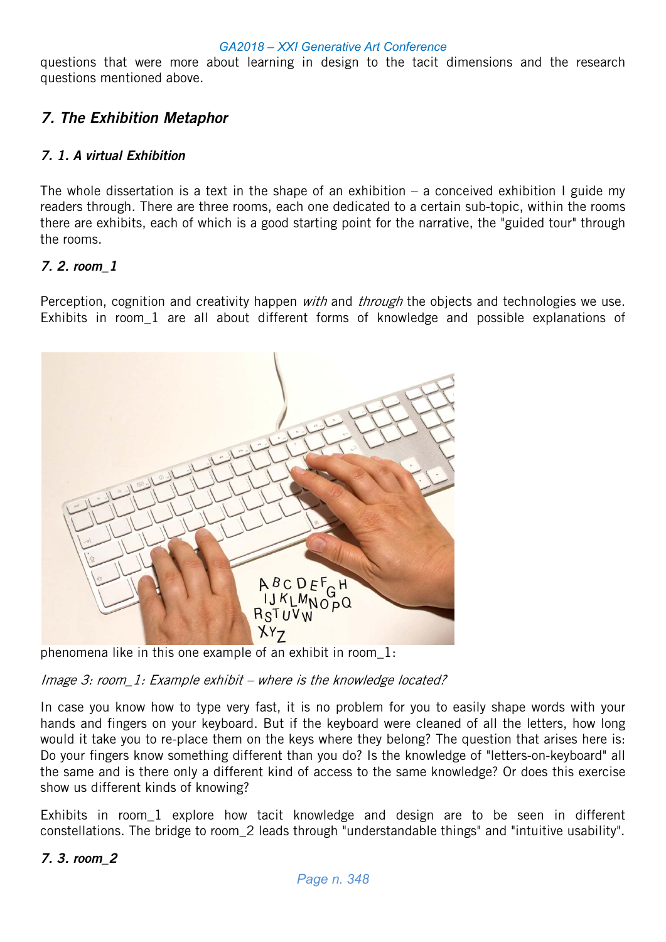questions that were more about learning in design to the tacit dimensions and the research questions mentioned above.

# 7. The Exhibition Metaphor

### 7. 1. A virtual Exhibition

The whole dissertation is a text in the shape of an exhibition – a conceived exhibition I guide my readers through. There are three rooms, each one dedicated to a certain sub-topic, within the rooms there are exhibits, each of which is a good starting point for the narrative, the "guided tour" through the rooms.

### 7. 2. room\_1

Perception, cognition and creativity happen *with* and *through* the objects and technologies we use. Exhibits in room\_1 are all about different forms of knowledge and possible explanations of



phenomena like in this one example of an exhibit in room\_1:

Image 3: room\_1: Example exhibit – where is the knowledge located?

In case you know how to type very fast, it is no problem for you to easily shape words with your hands and fingers on your keyboard. But if the keyboard were cleaned of all the letters, how long would it take you to re-place them on the keys where they belong? The question that arises here is: Do your fingers know something different than you do? Is the knowledge of "letters-on-keyboard" all the same and is there only a different kind of access to the same knowledge? Or does this exercise show us different kinds of knowing?

Exhibits in room 1 explore how tacit knowledge and design are to be seen in different constellations. The bridge to room\_2 leads through "understandable things" and "intuitive usability".

#### 7. 3. room\_2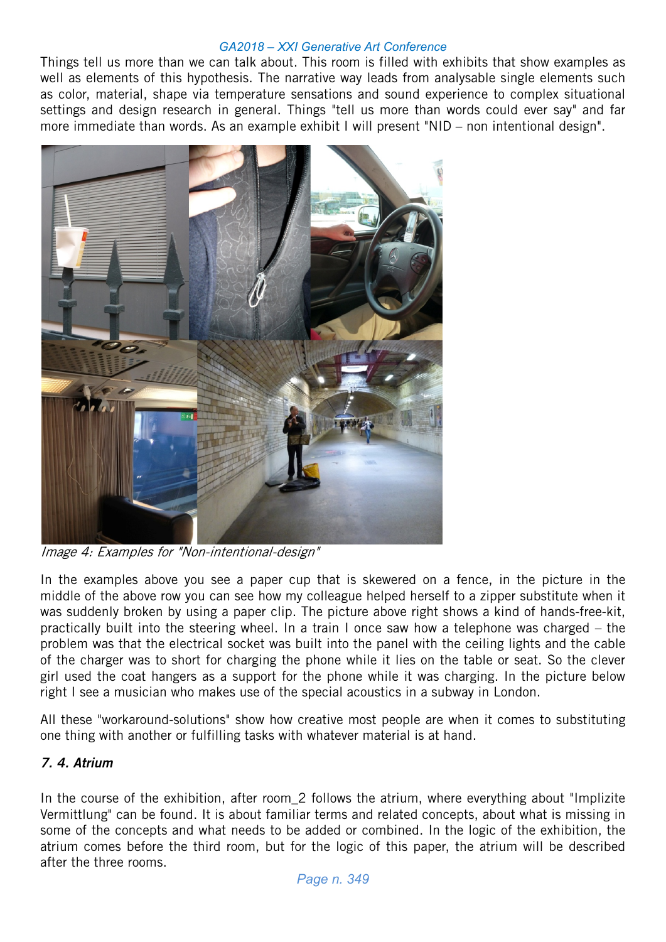Things tell us more than we can talk about. This room is filled with exhibits that show examples as well as elements of this hypothesis. The narrative way leads from analysable single elements such as color, material, shape via temperature sensations and sound experience to complex situational settings and design research in general. Things "tell us more than words could ever say" and far more immediate than words. As an example exhibit I will present "NID – non intentional design".



Image 4: Examples for "Non-intentional-design"

In the examples above you see a paper cup that is skewered on a fence, in the picture in the middle of the above row you can see how my colleague helped herself to a zipper substitute when it was suddenly broken by using a paper clip. The picture above right shows a kind of hands-free-kit, practically built into the steering wheel. In a train I once saw how a telephone was charged – the problem was that the electrical socket was built into the panel with the ceiling lights and the cable of the charger was to short for charging the phone while it lies on the table or seat. So the clever girl used the coat hangers as a support for the phone while it was charging. In the picture below right I see a musician who makes use of the special acoustics in a subway in London.

All these "workaround-solutions" show how creative most people are when it comes to substituting one thing with another or fulfilling tasks with whatever material is at hand.

# 7. 4. Atrium

In the course of the exhibition, after room\_2 follows the atrium, where everything about "Implizite Vermittlung" can be found. It is about familiar terms and related concepts, about what is missing in some of the concepts and what needs to be added or combined. In the logic of the exhibition, the atrium comes before the third room, but for the logic of this paper, the atrium will be described after the three rooms.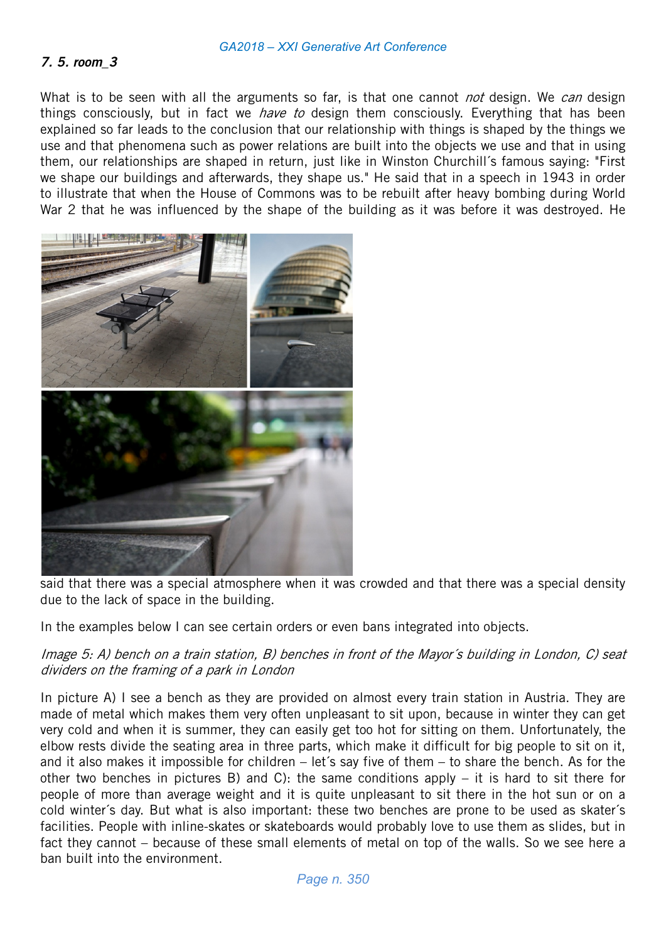#### 7. 5. room\_3

What is to be seen with all the arguments so far, is that one cannot *not* design. We *can* design things consciously, but in fact we *have to* design them consciously. Everything that has been explained so far leads to the conclusion that our relationship with things is shaped by the things we use and that phenomena such as power relations are built into the objects we use and that in using them, our relationships are shaped in return, just like in Winston Churchill´s famous saying: "First we shape our buildings and afterwards, they shape us." He said that in a speech in 1943 in order to illustrate that when the House of Commons was to be rebuilt after heavy bombing during World War 2 that he was influenced by the shape of the building as it was before it was destroyed. He



said that there was a special atmosphere when it was crowded and that there was a special density due to the lack of space in the building.

In the examples below I can see certain orders or even bans integrated into objects.

#### Image 5: A) bench on a train station, B) benches in front of the Mayor´s building in London, C) seat dividers on the framing of a park in London

In picture A) I see a bench as they are provided on almost every train station in Austria. They are made of metal which makes them very often unpleasant to sit upon, because in winter they can get very cold and when it is summer, they can easily get too hot for sitting on them. Unfortunately, the elbow rests divide the seating area in three parts, which make it difficult for big people to sit on it, and it also makes it impossible for children – let´s say five of them – to share the bench. As for the other two benches in pictures B) and C): the same conditions apply – it is hard to sit there for people of more than average weight and it is quite unpleasant to sit there in the hot sun or on a cold winter´s day. But what is also important: these two benches are prone to be used as skater´s facilities. People with inline-skates or skateboards would probably love to use them as slides, but in fact they cannot – because of these small elements of metal on top of the walls. So we see here a ban built into the environment.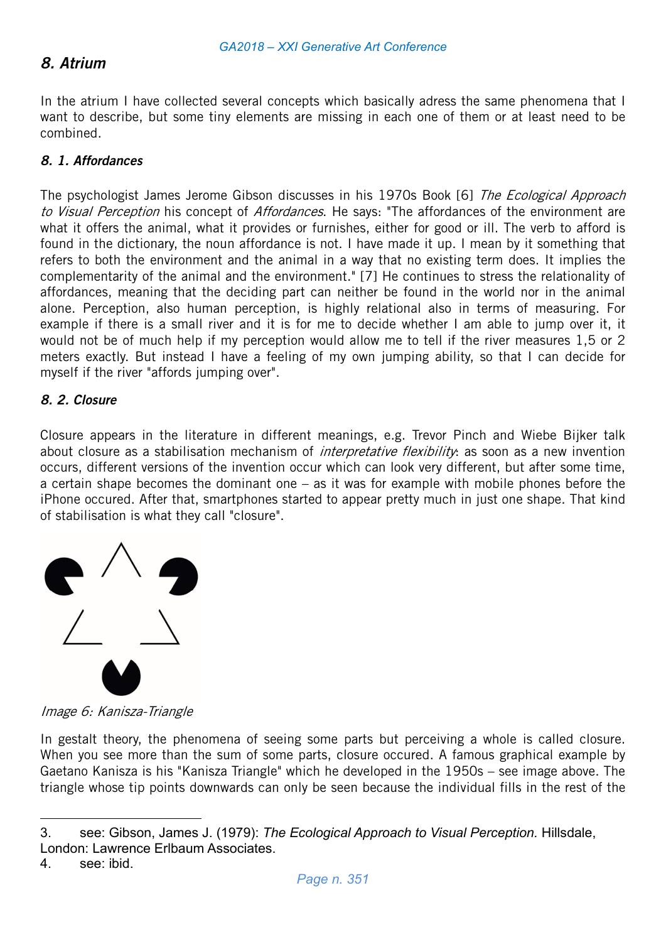# 8. Atrium

In the atrium I have collected several concepts which basically adress the same phenomena that I want to describe, but some tiny elements are missing in each one of them or at least need to be combined.

### 8. 1. Affordances

The psychologist James Jerome Gibson discusses in his 1970s Book [6] The Ecological Approach to Visual Perception his concept of Affordances. He says: "The affordances of the environment are what it offers the animal, what it provides or furnishes, either for good or ill. The verb to afford is found in the dictionary, the noun affordance is not. I have made it up. I mean by it something that refers to both the environment and the animal in a way that no existing term does. It implies the complementarity of the animal and the environment." [7] He continues to stress the relationality of affordances, meaning that the deciding part can neither be found in the world nor in the animal alone. Perception, also human perception, is highly relational also in terms of measuring. For example if there is a small river and it is for me to decide whether I am able to jump over it, it would not be of much help if my perception would allow me to tell if the river measures 1,5 or 2 meters exactly. But instead I have a feeling of my own jumping ability, so that I can decide for myself if the river "affords jumping over".

### 8. 2. Closure

Closure appears in the literature in different meanings, e.g. Trevor Pinch and Wiebe Bijker talk about closure as a stabilisation mechanism of *interpretative flexibility*: as soon as a new invention occurs, different versions of the invention occur which can look very different, but after some time, a certain shape becomes the dominant one – as it was for example with mobile phones before the iPhone occured. After that, smartphones started to appear pretty much in just one shape. That kind of stabilisation is what they call "closure".



Image 6: Kanisza-Triangle

In gestalt theory, the phenomena of seeing some parts but perceiving a whole is called closure. When you see more than the sum of some parts, closure occured. A famous graphical example by Gaetano Kanisza is his "Kanisza Triangle" which he developed in the 1950s – see image above. The triangle whose tip points downwards can only be seen because the individual fills in the rest of the

<u>.</u>

<sup>3.</sup> see: Gibson, James J. (1979): *The Ecological Approach to Visual Perception.* Hillsdale, London: Lawrence Erlbaum Associates.

<sup>4.</sup> see: ibid.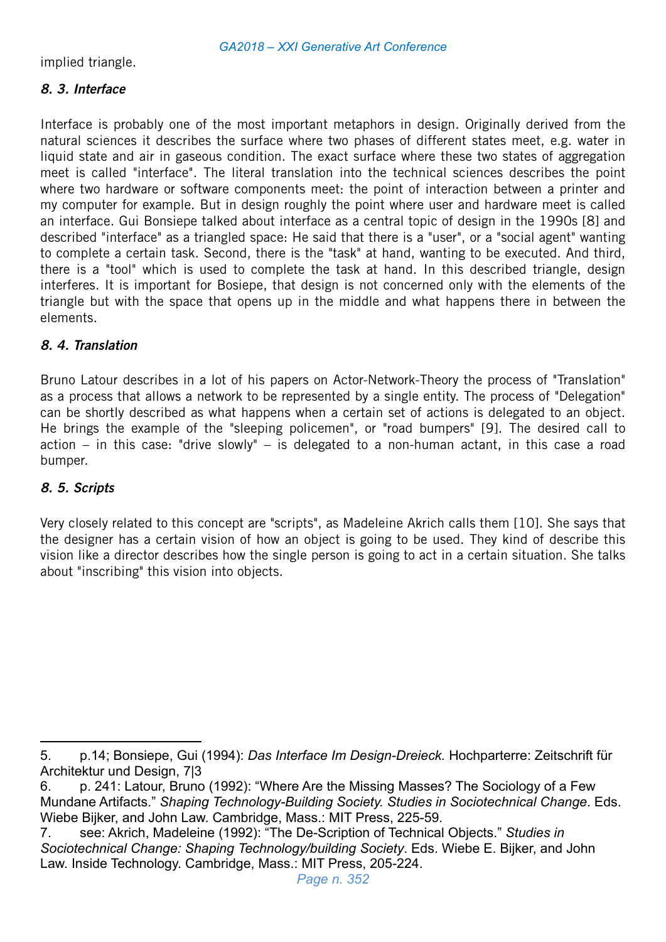implied triangle.

# 8. 3. Interface

Interface is probably one of the most important metaphors in design. Originally derived from the natural sciences it describes the surface where two phases of different states meet, e.g. water in liquid state and air in gaseous condition. The exact surface where these two states of aggregation meet is called "interface". The literal translation into the technical sciences describes the point where two hardware or software components meet: the point of interaction between a printer and my computer for example. But in design roughly the point where user and hardware meet is called an interface. Gui Bonsiepe talked about interface as a central topic of design in the 1990s [8] and described "interface" as a triangled space: He said that there is a "user", or a "social agent" wanting to complete a certain task. Second, there is the "task" at hand, wanting to be executed. And third, there is a "tool" which is used to complete the task at hand. In this described triangle, design interferes. It is important for Bosiepe, that design is not concerned only with the elements of the triangle but with the space that opens up in the middle and what happens there in between the elements.

# 8. 4. Translation

Bruno Latour describes in a lot of his papers on Actor-Network-Theory the process of "Translation" as a process that allows a network to be represented by a single entity. The process of "Delegation" can be shortly described as what happens when a certain set of actions is delegated to an object. He brings the example of the "sleeping policemen", or "road bumpers" [9]. The desired call to action – in this case: "drive slowly" – is delegated to a non-human actant, in this case a road bumper.

# 8. 5. Scripts

<u>.</u>

Very closely related to this concept are "scripts", as Madeleine Akrich calls them [10]. She says that the designer has a certain vision of how an object is going to be used. They kind of describe this vision like a director describes how the single person is going to act in a certain situation. She talks about "inscribing" this vision into objects.

<sup>5.</sup> p.14; Bonsiepe, Gui (1994): *Das Interface Im Design-Dreieck.* Hochparterre: Zeitschrift für Architektur und Design, 7|3

<sup>6.</sup> p. 241: Latour, Bruno (1992): "Where Are the Missing Masses? The Sociology of a Few Mundane Artifacts." *Shaping Technology-Building Society. Studies in Sociotechnical Change*. Eds. Wiebe Bijker, and John Law. Cambridge, Mass.: MIT Press, 225-59.

<sup>7.</sup> see: Akrich, Madeleine (1992): "The De-Scription of Technical Objects." *Studies in Sociotechnical Change: Shaping Technology/building Society*. Eds. Wiebe E. Bijker, and John Law. Inside Technology. Cambridge, Mass.: MIT Press, 205-224.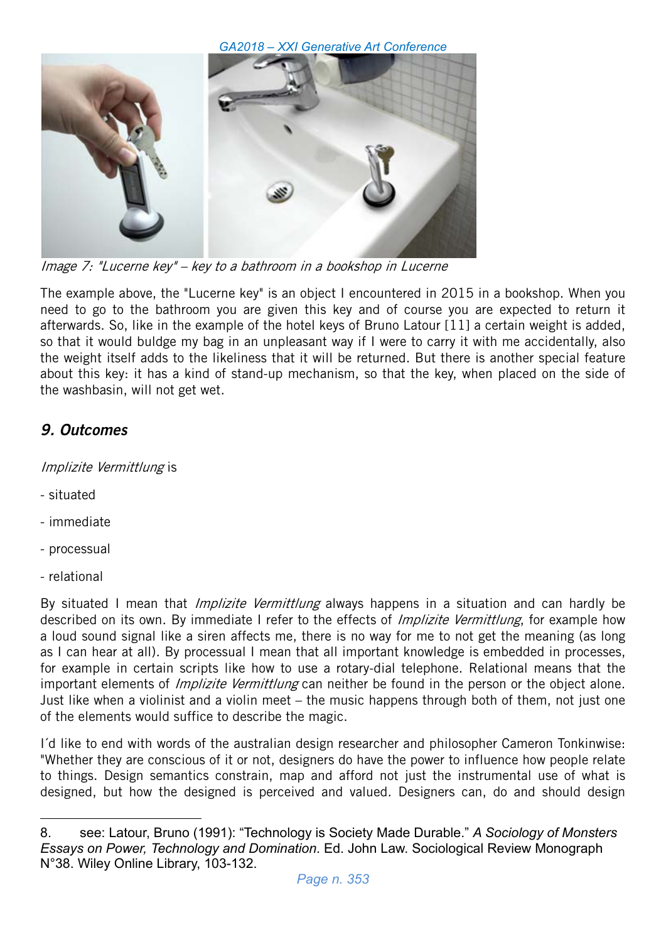

Image 7: "Lucerne key" – key to a bathroom in a bookshop in Lucerne

The example above, the "Lucerne key" is an object I encountered in 2015 in a bookshop. When you need to go to the bathroom you are given this key and of course you are expected to return it afterwards. So, like in the example of the hotel keys of Bruno Latour [11] a certain weight is added, so that it would buldge my bag in an unpleasant way if I were to carry it with me accidentally, also the weight itself adds to the likeliness that it will be returned. But there is another special feature about this key: it has a kind of stand-up mechanism, so that the key, when placed on the side of the washbasin, will not get wet.

# 9. Outcomes

Implizite Vermittlung is

- situated
- immediate
- processual
- relational

<u>.</u>

By situated I mean that *Implizite Vermittlung* always happens in a situation and can hardly be described on its own. By immediate I refer to the effects of *Implizite Vermittlung*, for example how a loud sound signal like a siren affects me, there is no way for me to not get the meaning (as long as I can hear at all). By processual I mean that all important knowledge is embedded in processes, for example in certain scripts like how to use a rotary-dial telephone. Relational means that the important elements of *Implizite Vermittlung* can neither be found in the person or the object alone. Just like when a violinist and a violin meet – the music happens through both of them, not just one of the elements would suffice to describe the magic.

I´d like to end with words of the australian design researcher and philosopher Cameron Tonkinwise: "Whether they are conscious of it or not, designers do have the power to influence how people relate to things. Design semantics constrain, map and afford not just the instrumental use of what is designed, but how the designed is perceived and valued. Designers can, do and should design

<sup>8.</sup> see: Latour, Bruno (1991): "Technology is Society Made Durable." *A Sociology of Monsters Essays on Power, Technology and Domination*. Ed. John Law. Sociological Review Monograph N°38. Wiley Online Library, 103-132.